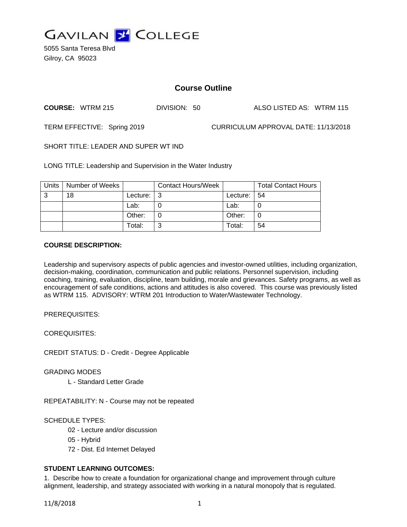

5055 Santa Teresa Blvd Gilroy, CA 95023

# **Course Outline**

**COURSE:** WTRM 215 DIVISION: 50 ALSO LISTED AS: WTRM 115

TERM EFFECTIVE: Spring 2019 CURRICULUM APPROVAL DATE: 11/13/2018

SHORT TITLE: LEADER AND SUPER WT IND

LONG TITLE: Leadership and Supervision in the Water Industry

| <b>Units</b> | Number of Weeks |               | <b>Contact Hours/Week</b> |          | <b>Total Contact Hours</b> |
|--------------|-----------------|---------------|---------------------------|----------|----------------------------|
| 3            | 18              | Lecture: $ 3$ |                           | Lecture: | l 54                       |
|              |                 | Lab:          |                           | Lab:     |                            |
|              |                 | Other:        |                           | Other:   |                            |
|              |                 | Total:        | ⌒                         | Total:   | 54                         |

#### **COURSE DESCRIPTION:**

Leadership and supervisory aspects of public agencies and investor-owned utilities, including organization, decision-making, coordination, communication and public relations. Personnel supervision, including coaching, training, evaluation, discipline, team building, morale and grievances. Safety programs, as well as encouragement of safe conditions, actions and attitudes is also covered. This course was previously listed as WTRM 115. ADVISORY: WTRM 201 Introduction to Water/Wastewater Technology.

PREREQUISITES:

COREQUISITES:

CREDIT STATUS: D - Credit - Degree Applicable

GRADING MODES

L - Standard Letter Grade

REPEATABILITY: N - Course may not be repeated

SCHEDULE TYPES:

- 02 Lecture and/or discussion
- 05 Hybrid
- 72 Dist. Ed Internet Delayed

# **STUDENT LEARNING OUTCOMES:**

1. Describe how to create a foundation for organizational change and improvement through culture alignment, leadership, and strategy associated with working in a natural monopoly that is regulated.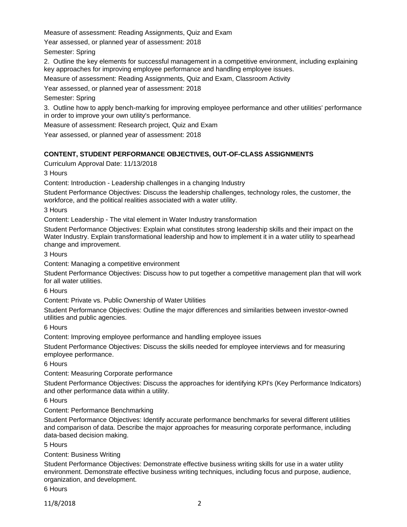Measure of assessment: Reading Assignments, Quiz and Exam

Year assessed, or planned year of assessment: 2018

Semester: Spring

2. Outline the key elements for successful management in a competitive environment, including explaining key approaches for improving employee performance and handling employee issues.

Measure of assessment: Reading Assignments, Quiz and Exam, Classroom Activity

Year assessed, or planned year of assessment: 2018

Semester: Spring

3. Outline how to apply bench-marking for improving employee performance and other utilities' performance in order to improve your own utility's performance.

Measure of assessment: Research project, Quiz and Exam

Year assessed, or planned year of assessment: 2018

### **CONTENT, STUDENT PERFORMANCE OBJECTIVES, OUT-OF-CLASS ASSIGNMENTS**

Curriculum Approval Date: 11/13/2018

3 Hours

Content: Introduction - Leadership challenges in a changing Industry

Student Performance Objectives: Discuss the leadership challenges, technology roles, the customer, the workforce, and the political realities associated with a water utility.

3 Hours

Content: Leadership - The vital element in Water Industry transformation

Student Performance Objectives: Explain what constitutes strong leadership skills and their impact on the Water Industry. Explain transformational leadership and how to implement it in a water utility to spearhead change and improvement.

3 Hours

Content: Managing a competitive environment

Student Performance Objectives: Discuss how to put together a competitive management plan that will work for all water utilities.

6 Hours

Content: Private vs. Public Ownership of Water Utilities

Student Performance Objectives: Outline the major differences and similarities between investor-owned utilities and public agencies.

6 Hours

Content: Improving employee performance and handling employee issues

Student Performance Objectives: Discuss the skills needed for employee interviews and for measuring employee performance.

6 Hours

Content: Measuring Corporate performance

Student Performance Objectives: Discuss the approaches for identifying KPI's (Key Performance Indicators) and other performance data within a utility.

6 Hours

### Content: Performance Benchmarking

Student Performance Objectives: Identify accurate performance benchmarks for several different utilities and comparison of data. Describe the major approaches for measuring corporate performance, including data-based decision making.

5 Hours

### Content: Business Writing

Student Performance Objectives: Demonstrate effective business writing skills for use in a water utility environment. Demonstrate effective business writing techniques, including focus and purpose, audience, organization, and development.

6 Hours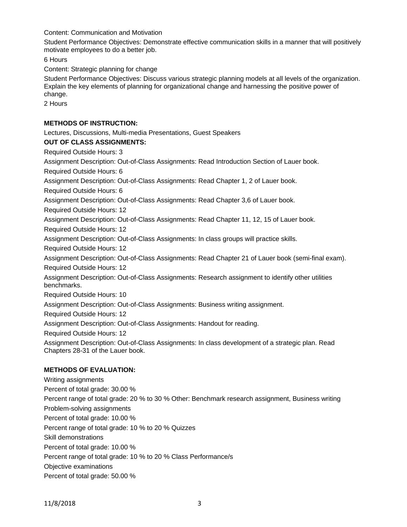Content: Communication and Motivation

Student Performance Objectives: Demonstrate effective communication skills in a manner that will positively motivate employees to do a better job.

6 Hours

Content: Strategic planning for change

Student Performance Objectives: Discuss various strategic planning models at all levels of the organization. Explain the key elements of planning for organizational change and harnessing the positive power of change.

2 Hours

### **METHODS OF INSTRUCTION:**

Lectures, Discussions, Multi-media Presentations, Guest Speakers

### **OUT OF CLASS ASSIGNMENTS:**

Required Outside Hours: 3

Assignment Description: Out-of-Class Assignments: Read Introduction Section of Lauer book.

Required Outside Hours: 6

Assignment Description: Out-of-Class Assignments: Read Chapter 1, 2 of Lauer book.

Required Outside Hours: 6

Assignment Description: Out-of-Class Assignments: Read Chapter 3,6 of Lauer book.

Required Outside Hours: 12

Assignment Description: Out-of-Class Assignments: Read Chapter 11, 12, 15 of Lauer book.

Required Outside Hours: 12

Assignment Description: Out-of-Class Assignments: In class groups will practice skills.

Required Outside Hours: 12

Assignment Description: Out-of-Class Assignments: Read Chapter 21 of Lauer book (semi-final exam).

Required Outside Hours: 12

Assignment Description: Out-of-Class Assignments: Research assignment to identify other utilities benchmarks.

Required Outside Hours: 10

Assignment Description: Out-of-Class Assignments: Business writing assignment.

Required Outside Hours: 12

Assignment Description: Out-of-Class Assignments: Handout for reading.

Required Outside Hours: 12

Assignment Description: Out-of-Class Assignments: In class development of a strategic plan. Read Chapters 28-31 of the Lauer book.

## **METHODS OF EVALUATION:**

Writing assignments Percent of total grade: 30.00 % Percent range of total grade: 20 % to 30 % Other: Benchmark research assignment, Business writing Problem-solving assignments Percent of total grade: 10.00 % Percent range of total grade: 10 % to 20 % Quizzes Skill demonstrations Percent of total grade: 10.00 % Percent range of total grade: 10 % to 20 % Class Performance/s Objective examinations Percent of total grade: 50.00 %